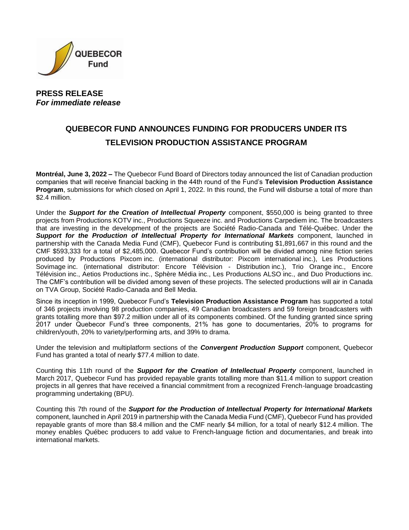

# **PRESS RELEASE** *For immediate release*

# **QUEBECOR FUND ANNOUNCES FUNDING FOR PRODUCERS UNDER ITS TELEVISION PRODUCTION ASSISTANCE PROGRAM**

**Montréal, June 3, 2022 –** The Quebecor Fund Board of Directors today announced the list of Canadian production companies that will receive financial backing in the 44th round of the Fund's **Television Production Assistance Program**, submissions for which closed on April 1, 2022. In this round, the Fund will disburse a total of more than \$2.4 million.

Under the *Support for the Creation of Intellectual Property* component, \$550,000 is being granted to three projects from Productions KOTV inc., Productions Squeeze inc. and Productions Carpediem inc. The broadcasters that are investing in the development of the projects are Société Radio-Canada and Télé-Québec. Under the *Support for the Production of Intellectual Property for International Markets* component, launched in partnership with the Canada Media Fund (CMF), Quebecor Fund is contributing \$1,891,667 in this round and the CMF \$593,333 for a total of \$2,485,000. Quebecor Fund's contribution will be divided among nine fiction series produced by Productions Pixcom inc. (international distributor: Pixcom international inc.), Les Productions Sovimage inc. (international distributor: Encore Télévision - Distribution inc.), Trio Orange inc., Encore Télévision inc., Aetios Productions inc., Sphère Média inc., Les Productions ALSO inc., and Duo Productions inc. The CMF's contribution will be divided among seven of these projects. The selected productions will air in Canada on TVA Group, Société Radio-Canada and Bell Media.

Since its inception in 1999, Quebecor Fund's **Television Production Assistance Program** has supported a total of 346 projects involving 98 production companies, 49 Canadian broadcasters and 59 foreign broadcasters with grants totalling more than \$97.2 million under all of its components combined. Of the funding granted since spring 2017 under Quebecor Fund's three components, 21% has gone to documentaries, 20% to programs for children/youth, 20% to variety/performing arts, and 39% to drama.

Under the television and multiplatform sections of the *Convergent Production Support* component, Quebecor Fund has granted a total of nearly \$77.4 million to date.

Counting this 11th round of the *Support for the Creation of Intellectual Property* component, launched in March 2017, Quebecor Fund has provided repayable grants totalling more than \$11.4 million to support creation projects in all genres that have received a financial commitment from a recognized French-language broadcasting programming undertaking (BPU).

Counting this 7th round of the *Support for the Production of Intellectual Property for International Markets* component, launched in April 2019 in partnership with the Canada Media Fund (CMF), Quebecor Fund has provided repayable grants of more than \$8.4 million and the CMF nearly \$4 million, for a total of nearly \$12.4 million. The money enables Québec producers to add value to French-language fiction and documentaries, and break into international markets.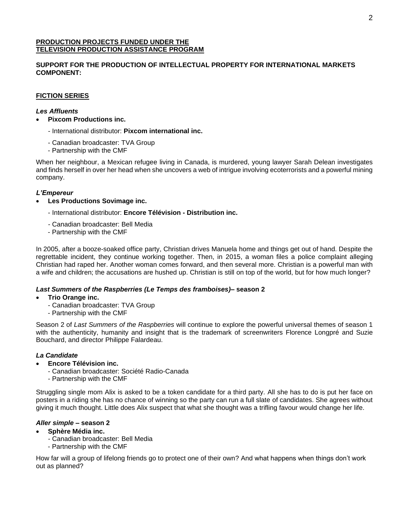#### **PRODUCTION PROJECTS FUNDED UNDER THE TELEVISION PRODUCTION ASSISTANCE PROGRAM**

# **SUPPORT FOR THE PRODUCTION OF INTELLECTUAL PROPERTY FOR INTERNATIONAL MARKETS COMPONENT:**

# **FICTION SERIES**

## *Les Affluents*

- **Pixcom Productions inc.**
	- *-* International distributor: **Pixcom international inc.**
	- Canadian broadcaster: TVA Group
	- Partnership with the CMF

When her neighbour, a Mexican refugee living in Canada, is murdered, young lawyer Sarah Delean investigates and finds herself in over her head when she uncovers a web of intrigue involving ecoterrorists and a powerful mining company.

# *L'Empereur*

- **Les Productions Sovimage inc.** 
	- International distributor: **Encore Télévision - Distribution inc.**
	- *-* Canadian broadcaster: Bell Media
	- Partnership with the CMF

In 2005, after a booze-soaked office party, Christian drives Manuela home and things get out of hand. Despite the regrettable incident, they continue working together. Then, in 2015, a woman files a police complaint alleging Christian had raped her. Another woman comes forward, and then several more. Christian is a powerful man with a wife and children; the accusations are hushed up. Christian is still on top of the world, but for how much longer?

#### *Last Summers of the Raspberries (Le Temps des framboises)–* **season 2**

#### • **Trio Orange inc.**

- Canadian broadcaster: TVA Group
- Partnership with the CMF

Season 2 of *Last Summers of the Raspberries* will continue to explore the powerful universal themes of season 1 with the authenticity, humanity and insight that is the trademark of screenwriters Florence Longpré and Suzie Bouchard, and director Philippe Falardeau.

#### *La Candidate*

- **Encore Télévision inc.**
	- Canadian broadcaster: Société Radio-Canada
	- Partnership with the CMF

Struggling single mom Alix is asked to be a token candidate for a third party. All she has to do is put her face on posters in a riding she has no chance of winning so the party can run a full slate of candidates. She agrees without giving it much thought. Little does Alix suspect that what she thought was a trifling favour would change her life.

#### *Aller simple –* **season 2**

#### • **Sphère Média inc.**

- *-* Canadian broadcaster: Bell Media
- Partnership with the CMF

How far will a group of lifelong friends go to protect one of their own? And what happens when things don't work out as planned?